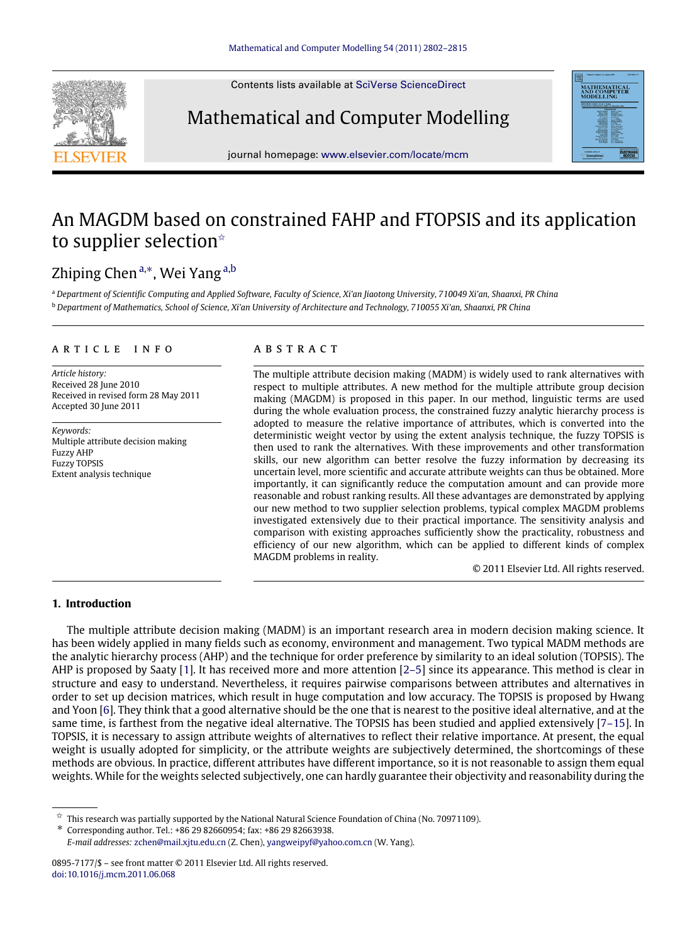Contents lists available at [SciVerse ScienceDirect](http://www.elsevier.com/locate/mcm)



Mathematical and Computer Modelling journal homepage: [www.elsevier.com/locate/mcm](http://www.elsevier.com/locate/mcm)

## An MAGDM based on constrained FAHP and FTOPSIS and its application to supplier selection<sup>\*</sup>

### Zhiping Chen <sup>[a,](#page-0-1)[∗](#page-0-2)</sup>, Wei Y[a](#page-0-1)ng <sup>a[,b](#page-0-3)</sup>

<span id="page-0-3"></span><span id="page-0-1"></span><sup>a</sup> *Department of Scientific Computing and Applied Software, Faculty of Science, Xi'an Jiaotong University, 710049 Xi'an, Shaanxi, PR China* <sup>b</sup> *Department of Mathematics, School of Science, Xi'an University of Architecture and Technology, 710055 Xi'an, Shaanxi, PR China*

#### a r t i c l e i n f o

*Article history:* Received 28 June 2010 Received in revised form 28 May 2011 Accepted 30 June 2011

*Keywords:* Multiple attribute decision making Fuzzy AHP Fuzzy TOPSIS Extent analysis technique

### a b s t r a c t

The multiple attribute decision making (MADM) is widely used to rank alternatives with respect to multiple attributes. A new method for the multiple attribute group decision making (MAGDM) is proposed in this paper. In our method, linguistic terms are used during the whole evaluation process, the constrained fuzzy analytic hierarchy process is adopted to measure the relative importance of attributes, which is converted into the deterministic weight vector by using the extent analysis technique, the fuzzy TOPSIS is then used to rank the alternatives. With these improvements and other transformation skills, our new algorithm can better resolve the fuzzy information by decreasing its uncertain level, more scientific and accurate attribute weights can thus be obtained. More importantly, it can significantly reduce the computation amount and can provide more reasonable and robust ranking results. All these advantages are demonstrated by applying our new method to two supplier selection problems, typical complex MAGDM problems investigated extensively due to their practical importance. The sensitivity analysis and comparison with existing approaches sufficiently show the practicality, robustness and efficiency of our new algorithm, which can be applied to different kinds of complex MAGDM problems in reality.

© 2011 Elsevier Ltd. All rights reserved.

#### **1. Introduction**

The multiple attribute decision making (MADM) is an important research area in modern decision making science. It has been widely applied in many fields such as economy, environment and management. Two typical MADM methods are the analytic hierarchy process (AHP) and the technique for order preference by similarity to an ideal solution (TOPSIS). The AHP is proposed by Saaty [\[1\]](#page--1-0). It has received more and more attention [\[2–5\]](#page--1-1) since its appearance. This method is clear in structure and easy to understand. Nevertheless, it requires pairwise comparisons between attributes and alternatives in order to set up decision matrices, which result in huge computation and low accuracy. The TOPSIS is proposed by Hwang and Yoon [\[6\]](#page--1-2). They think that a good alternative should be the one that is nearest to the positive ideal alternative, and at the same time, is farthest from the negative ideal alternative. The TOPSIS has been studied and applied extensively [\[7–15\]](#page--1-3). In TOPSIS, it is necessary to assign attribute weights of alternatives to reflect their relative importance. At present, the equal weight is usually adopted for simplicity, or the attribute weights are subjectively determined, the shortcomings of these methods are obvious. In practice, different attributes have different importance, so it is not reasonable to assign them equal weights. While for the weights selected subjectively, one can hardly guarantee their objectivity and reasonability during the

<span id="page-0-0"></span> $\overline{X}$  This research was partially supported by the National Natural Science Foundation of China (No. 70971109).

<span id="page-0-2"></span><sup>∗</sup> Corresponding author. Tel.: +86 29 82660954; fax: +86 29 82663938. *E-mail addresses:* [zchen@mail.xjtu.edu.cn](mailto:zchen@mail.xjtu.edu.cn) (Z. Chen), [yangweipyf@yahoo.com.cn](mailto:yangweipyf@yahoo.com.cn) (W. Yang).

<sup>0895-7177/\$ –</sup> see front matter © 2011 Elsevier Ltd. All rights reserved. [doi:10.1016/j.mcm.2011.06.068](http://dx.doi.org/10.1016/j.mcm.2011.06.068)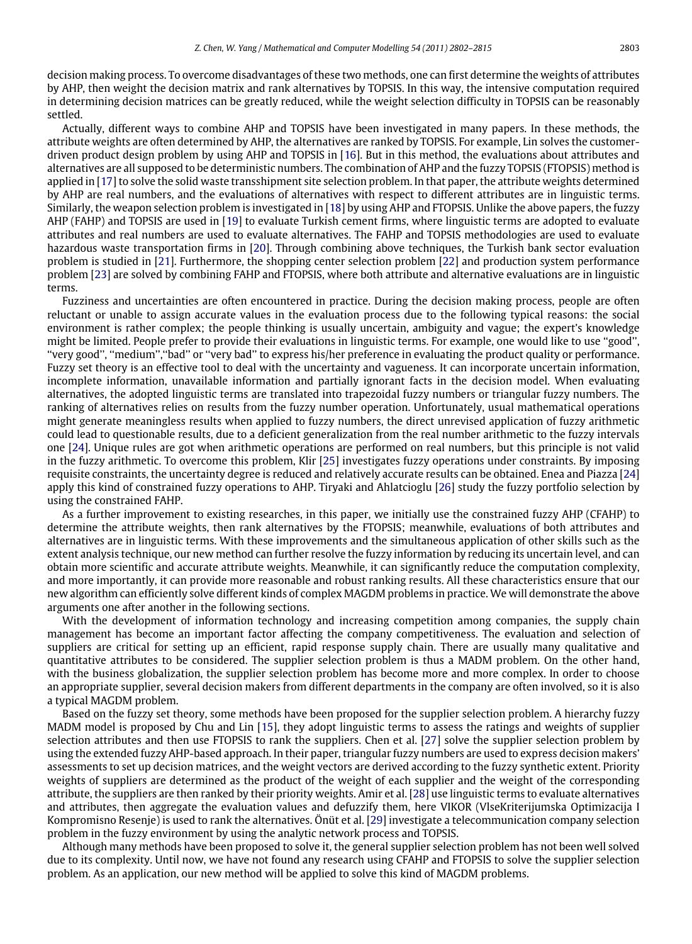decision making process. To overcome disadvantages of these two methods, one can first determine the weights of attributes by AHP, then weight the decision matrix and rank alternatives by TOPSIS. In this way, the intensive computation required in determining decision matrices can be greatly reduced, while the weight selection difficulty in TOPSIS can be reasonably settled.

Actually, different ways to combine AHP and TOPSIS have been investigated in many papers. In these methods, the attribute weights are often determined by AHP, the alternatives are ranked by TOPSIS. For example, Lin solves the customerdriven product design problem by using AHP and TOPSIS in [\[16\]](#page--1-4). But in this method, the evaluations about attributes and alternatives are all supposed to be deterministic numbers. The combination of AHP and the fuzzy TOPSIS (FTOPSIS) method is applied in [\[17\]](#page--1-5) to solve the solid waste transshipment site selection problem. In that paper, the attribute weights determined by AHP are real numbers, and the evaluations of alternatives with respect to different attributes are in linguistic terms. Similarly, the weapon selection problem is investigated in [\[18\]](#page--1-6) by using AHP and FTOPSIS. Unlike the above papers, the fuzzy AHP (FAHP) and TOPSIS are used in [\[19\]](#page--1-7) to evaluate Turkish cement firms, where linguistic terms are adopted to evaluate attributes and real numbers are used to evaluate alternatives. The FAHP and TOPSIS methodologies are used to evaluate hazardous waste transportation firms in [\[20\]](#page--1-8). Through combining above techniques, the Turkish bank sector evaluation problem is studied in [\[21\]](#page--1-9). Furthermore, the shopping center selection problem [\[22\]](#page--1-10) and production system performance problem [\[23\]](#page--1-11) are solved by combining FAHP and FTOPSIS, where both attribute and alternative evaluations are in linguistic terms.

Fuzziness and uncertainties are often encountered in practice. During the decision making process, people are often reluctant or unable to assign accurate values in the evaluation process due to the following typical reasons: the social environment is rather complex; the people thinking is usually uncertain, ambiguity and vague; the expert's knowledge might be limited. People prefer to provide their evaluations in linguistic terms. For example, one would like to use ''good'', ''very good'', ''medium'',''bad'' or ''very bad'' to express his/her preference in evaluating the product quality or performance. Fuzzy set theory is an effective tool to deal with the uncertainty and vagueness. It can incorporate uncertain information, incomplete information, unavailable information and partially ignorant facts in the decision model. When evaluating alternatives, the adopted linguistic terms are translated into trapezoidal fuzzy numbers or triangular fuzzy numbers. The ranking of alternatives relies on results from the fuzzy number operation. Unfortunately, usual mathematical operations might generate meaningless results when applied to fuzzy numbers, the direct unrevised application of fuzzy arithmetic could lead to questionable results, due to a deficient generalization from the real number arithmetic to the fuzzy intervals one [\[24\]](#page--1-12). Unique rules are got when arithmetic operations are performed on real numbers, but this principle is not valid in the fuzzy arithmetic. To overcome this problem, Klir [\[25\]](#page--1-13) investigates fuzzy operations under constraints. By imposing requisite constraints, the uncertainty degree is reduced and relatively accurate results can be obtained. Enea and Piazza [\[24\]](#page--1-12) apply this kind of constrained fuzzy operations to AHP. Tiryaki and Ahlatcioglu [\[26\]](#page--1-14) study the fuzzy portfolio selection by using the constrained FAHP.

As a further improvement to existing researches, in this paper, we initially use the constrained fuzzy AHP (CFAHP) to determine the attribute weights, then rank alternatives by the FTOPSIS; meanwhile, evaluations of both attributes and alternatives are in linguistic terms. With these improvements and the simultaneous application of other skills such as the extent analysis technique, our new method can further resolve the fuzzy information by reducing its uncertain level, and can obtain more scientific and accurate attribute weights. Meanwhile, it can significantly reduce the computation complexity, and more importantly, it can provide more reasonable and robust ranking results. All these characteristics ensure that our new algorithm can efficiently solve different kinds of complex MAGDM problems in practice. We will demonstrate the above arguments one after another in the following sections.

With the development of information technology and increasing competition among companies, the supply chain management has become an important factor affecting the company competitiveness. The evaluation and selection of suppliers are critical for setting up an efficient, rapid response supply chain. There are usually many qualitative and quantitative attributes to be considered. The supplier selection problem is thus a MADM problem. On the other hand, with the business globalization, the supplier selection problem has become more and more complex. In order to choose an appropriate supplier, several decision makers from different departments in the company are often involved, so it is also a typical MAGDM problem.

Based on the fuzzy set theory, some methods have been proposed for the supplier selection problem. A hierarchy fuzzy MADM model is proposed by Chu and Lin [\[15\]](#page--1-15), they adopt linguistic terms to assess the ratings and weights of supplier selection attributes and then use FTOPSIS to rank the suppliers. Chen et al. [\[27\]](#page--1-16) solve the supplier selection problem by using the extended fuzzy AHP-based approach. In their paper, triangular fuzzy numbers are used to express decision makers' assessments to set up decision matrices, and the weight vectors are derived according to the fuzzy synthetic extent. Priority weights of suppliers are determined as the product of the weight of each supplier and the weight of the corresponding attribute, the suppliers are then ranked by their priority weights. Amir et al. [\[28\]](#page--1-17) use linguistic terms to evaluate alternatives and attributes, then aggregate the evaluation values and defuzzify them, here VIKOR (VlseKriterijumska Optimizacija I Kompromisno Resenje) is used to rank the alternatives. Önüt et al. [\[29\]](#page--1-18) investigate a telecommunication company selection problem in the fuzzy environment by using the analytic network process and TOPSIS.

Although many methods have been proposed to solve it, the general supplier selection problem has not been well solved due to its complexity. Until now, we have not found any research using CFAHP and FTOPSIS to solve the supplier selection problem. As an application, our new method will be applied to solve this kind of MAGDM problems.